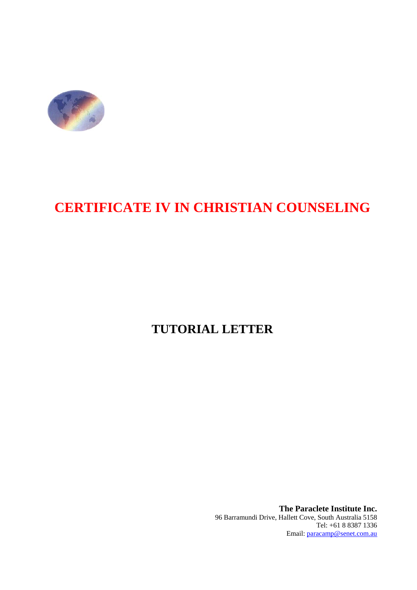

# **CERTIFICATE IV IN CHRISTIAN COUNSELING**

# **TUTORIAL LETTER**

**The Paraclete Institute Inc.**  96 Barramundi Drive, Hallett Cove, South Australia 5158 Tel: +61 8 8387 1336 Email: paracamp@senet.com.au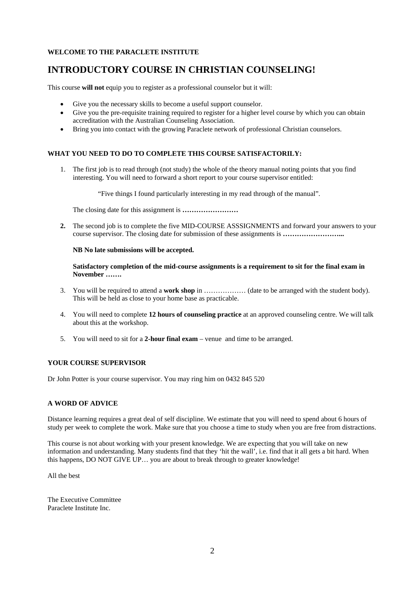#### **WELCOME TO THE PARACLETE INSTITUTE**

### **INTRODUCTORY COURSE IN CHRISTIAN COUNSELING!**

This course **will not** equip you to register as a professional counselor but it will:

- Give you the necessary skills to become a useful support counselor.
- Give you the pre-requisite training required to register for a higher level course by which you can obtain accreditation with the Australian Counseling Association.
- Bring you into contact with the growing Paraclete network of professional Christian counselors.

#### **WHAT YOU NEED TO DO TO COMPLETE THIS COURSE SATISFACTORILY:**

1. The first job is to read through (not study) the whole of the theory manual noting points that you find interesting. You will need to forward a short report to your course supervisor entitled:

"Five things I found particularly interesting in my read through of the manual".

The closing date for this assignment is **…………………** 

**2.** The second job is to complete the five MID-COURSE ASSSIGNMENTS and forward your answers to your course supervisor. The closing date for submission of these assignments is **……………………...** 

#### **NB No late submissions will be accepted.**

**Satisfactory completion of the mid-course assignments is a requirement to sit for the final exam in November …….** 

- 3. You will be required to attend a **work shop** in ……………… (date to be arranged with the student body). This will be held as close to your home base as practicable.
- 4. You will need to complete **12 hours of counseling practice** at an approved counseling centre. We will talk about this at the workshop.
- 5. You will need to sit for a **2-hour final exam** venue and time to be arranged.

#### **YOUR COURSE SUPERVISOR**

Dr John Potter is your course supervisor. You may ring him on 0432 845 520

#### **A WORD OF ADVICE**

Distance learning requires a great deal of self discipline. We estimate that you will need to spend about 6 hours of study per week to complete the work. Make sure that you choose a time to study when you are free from distractions.

This course is not about working with your present knowledge. We are expecting that you will take on new information and understanding. Many students find that they 'hit the wall', i.e. find that it all gets a bit hard. When this happens, DO NOT GIVE UP… you are about to break through to greater knowledge!

All the best

The Executive Committee Paraclete Institute Inc.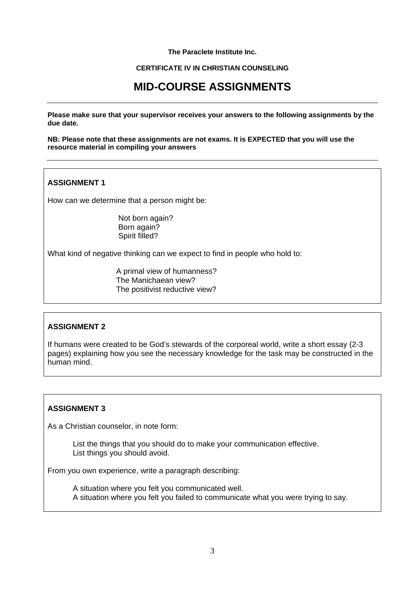#### **The Paraclete Institute Inc.**

#### **CERTIFICATE IV IN CHRISTIAN COUNSELING**

## **MID-COURSE ASSIGNMENTS**

**Please make sure that your supervisor receives your answers to the following assignments by the due date.** 

**NB: Please note that these assignments are not exams. It is EXPECTED that you will use the resource material in compiling your answers** 

#### **ASSIGNMENT 1**

How can we determine that a person might be:

 Not born again? Born again? Spirit filled?

What kind of negative thinking can we expect to find in people who hold to:

 A primal view of humanness? The Manichaean view? The positivist reductive view?

#### **ASSIGNMENT 2**

If humans were created to be God's stewards of the corporeal world, write a short essay (2-3 pages) explaining how you see the necessary knowledge for the task may be constructed in the human mind.

#### **ASSIGNMENT 3**

As a Christian counselor, in note form:

List the things that you should do to make your communication effective. List things you should avoid.

From you own experience, write a paragraph describing:

 A situation where you felt you communicated well. A situation where you felt you failed to communicate what you were trying to say.